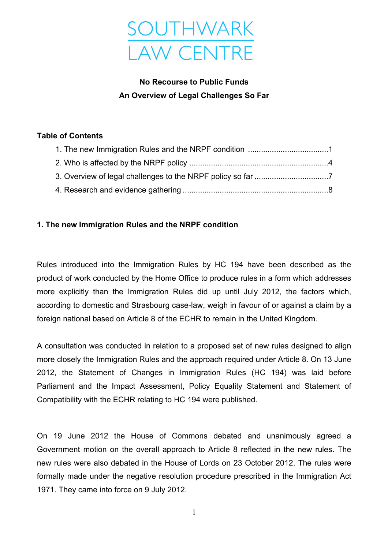

# **No Recourse to Public Funds An Overview of Legal Challenges So Far**

#### **Table of Contents**

## **1. The new Immigration Rules and the NRPF condition**

Rules introduced into the Immigration Rules by HC 194 have been described as the product of work conducted by the Home Office to produce rules in a form which addresses more explicitly than the Immigration Rules did up until July 2012, the factors which, according to domestic and Strasbourg case-law, weigh in favour of or against a claim by a foreign national based on Article 8 of the ECHR to remain in the United Kingdom.

A consultation was conducted in relation to a proposed set of new rules designed to align more closely the Immigration Rules and the approach required under Article 8. On 13 June 2012, the Statement of Changes in Immigration Rules (HC 194) was laid before Parliament and the Impact Assessment, Policy Equality Statement and Statement of Compatibility with the ECHR relating to HC 194 were published.

On 19 June 2012 the House of Commons debated and unanimously agreed a Government motion on the overall approach to Article 8 reflected in the new rules. The new rules were also debated in the House of Lords on 23 October 2012. The rules were formally made under the negative resolution procedure prescribed in the Immigration Act 1971. They came into force on 9 July 2012.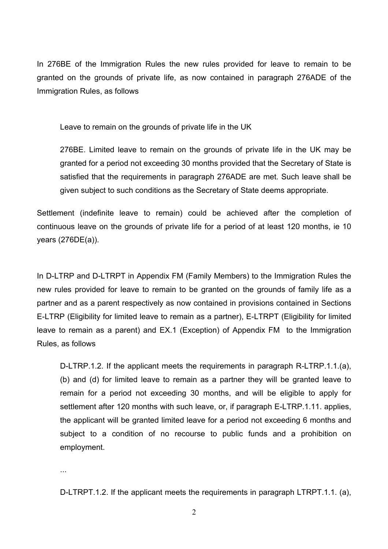In 276BE of the Immigration Rules the new rules provided for leave to remain to be granted on the grounds of private life, as now contained in paragraph 276ADE of the Immigration Rules, as follows

Leave to remain on the grounds of private life in the UK

276BE. Limited leave to remain on the grounds of private life in the UK may be granted for a period not exceeding 30 months provided that the Secretary of State is satisfied that the requirements in paragraph 276ADE are met. Such leave shall be given subject to such conditions as the Secretary of State deems appropriate.

Settlement (indefinite leave to remain) could be achieved after the completion of continuous leave on the grounds of private life for a period of at least 120 months, ie 10 years (276DE(a)).

In D-LTRP and D-LTRPT in Appendix FM (Family Members) to the Immigration Rules the new rules provided for leave to remain to be granted on the grounds of family life as a partner and as a parent respectively as now contained in provisions contained in Sections E-LTRP (Eligibility for limited leave to remain as a partner), E-LTRPT (Eligibility for limited leave to remain as a parent) and EX.1 (Exception) of Appendix FM to the Immigration Rules, as follows

D-LTRP.1.2. If the applicant meets the requirements in paragraph R-LTRP.1.1.(a), (b) and (d) for limited leave to remain as a partner they will be granted leave to remain for a period not exceeding 30 months, and will be eligible to apply for settlement after 120 months with such leave, or, if paragraph E-LTRP.1.11. applies, the applicant will be granted limited leave for a period not exceeding 6 months and subject to a condition of no recourse to public funds and a prohibition on employment.

...

D-LTRPT.1.2. If the applicant meets the requirements in paragraph LTRPT.1.1. (a),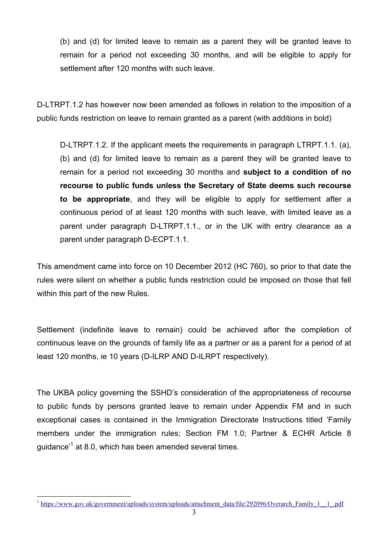(b) and (d) for limited leave to remain as a parent they will be granted leave to remain for a period not exceeding 30 months, and will be eligible to apply for settlement after 120 months with such leave.

D-LTRPT.1.2 has however now been amended as follows in relation to the imposition of a public funds restriction on leave to remain granted as a parent (with additions in bold)

D-LTRPT.1.2. If the applicant meets the requirements in paragraph LTRPT.1.1. (a), (b) and (d) for limited leave to remain as a parent they will be granted leave to remain for a period not exceeding 30 months and **subject to a condition of no recourse to public funds unless the Secretary of State deems such recourse to be appropriate**, and they will be eligible to apply for settlement after a continuous period of at least 120 months with such leave, with limited leave as a parent under paragraph D-LTRPT.1.1., or in the UK with entry clearance as a parent under paragraph D-ECPT.1.1.

This amendment came into force on 10 December 2012 (HC 760), so prior to that date the rules were silent on whether a public funds restriction could be imposed on those that fell within this part of the new Rules.

Settlement (indefinite leave to remain) could be achieved after the completion of continuous leave on the grounds of family life as a partner or as a parent for a period of at least 120 months, ie 10 years (D-ILRP AND D-ILRPT respectively).

The UKBA policy governing the SSHD's consideration of the appropriateness of recourse to public funds by persons granted leave to remain under Appendix FM and in such exceptional cases is contained in the Immigration Directorate Instructions titled 'Family members under the immigration rules; Section FM 1.0; Partner & ECHR Article 8 guidance'<sup>1</sup> at 8.0, which has been amended several times.

 <sup>1</sup> https://www.gov.uk/government/uploads/system/uploads/attachment\_data/file/292096/Overarch\_Family\_1\_\_1\_.pdf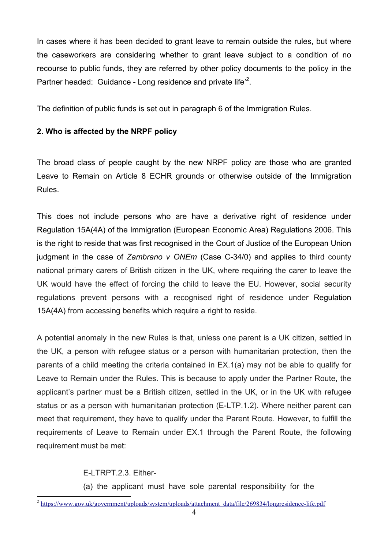In cases where it has been decided to grant leave to remain outside the rules, but where the caseworkers are considering whether to grant leave subject to a condition of no recourse to public funds, they are referred by other policy documents to the policy in the Partner headed: Guidance - Long residence and private life<sup>'2</sup>.

The definition of public funds is set out in paragraph 6 of the Immigration Rules.

#### **2. Who is affected by the NRPF policy**

The broad class of people caught by the new NRPF policy are those who are granted Leave to Remain on Article 8 ECHR grounds or otherwise outside of the Immigration Rules.

This does not include persons who are have a derivative right of residence under Regulation 15A(4A) of the Immigration (European Economic Area) Regulations 2006. This is the right to reside that was first recognised in the Court of Justice of the European Union judgment in the case of *Zambrano v ONEm* (Case C-34/0) and applies to third county national primary carers of British citizen in the UK, where requiring the carer to leave the UK would have the effect of forcing the child to leave the EU. However, social security regulations prevent persons with a recognised right of residence under Regulation 15A(4A) from accessing benefits which require a right to reside.

A potential anomaly in the new Rules is that, unless one parent is a UK citizen, settled in the UK, a person with refugee status or a person with humanitarian protection, then the parents of a child meeting the criteria contained in EX.1(a) may not be able to qualify for Leave to Remain under the Rules. This is because to apply under the Partner Route, the applicant's partner must be a British citizen, settled in the UK, or in the UK with refugee status or as a person with humanitarian protection (E-LTP.1.2). Where neither parent can meet that requirement, they have to qualify under the Parent Route. However, to fulfill the requirements of Leave to Remain under EX.1 through the Parent Route, the following requirement must be met:

E-LTRPT.2.3. Either-

(a) the applicant must have sole parental responsibility for the

 $^{2}$  https://www.gov.uk/government/uploads/system/uploads/attachment\_data/file/269834/longresidence-life.pdf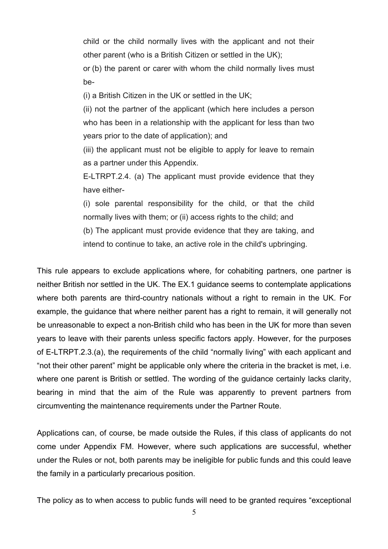child or the child normally lives with the applicant and not their other parent (who is a British Citizen or settled in the UK);

or (b) the parent or carer with whom the child normally lives must be-

(i) a British Citizen in the UK or settled in the UK;

(ii) not the partner of the applicant (which here includes a person who has been in a relationship with the applicant for less than two years prior to the date of application); and

(iii) the applicant must not be eligible to apply for leave to remain as a partner under this Appendix.

E-LTRPT.2.4. (a) The applicant must provide evidence that they have either-

(i) sole parental responsibility for the child, or that the child normally lives with them; or (ii) access rights to the child; and

(b) The applicant must provide evidence that they are taking, and

intend to continue to take, an active role in the child's upbringing.

This rule appears to exclude applications where, for cohabiting partners, one partner is neither British nor settled in the UK. The EX.1 guidance seems to contemplate applications where both parents are third-country nationals without a right to remain in the UK. For example, the guidance that where neither parent has a right to remain, it will generally not be unreasonable to expect a non-British child who has been in the UK for more than seven years to leave with their parents unless specific factors apply. However, for the purposes of E-LTRPT.2.3.(a), the requirements of the child "normally living" with each applicant and "not their other parent" might be applicable only where the criteria in the bracket is met, i.e. where one parent is British or settled. The wording of the guidance certainly lacks clarity, bearing in mind that the aim of the Rule was apparently to prevent partners from circumventing the maintenance requirements under the Partner Route.

Applications can, of course, be made outside the Rules, if this class of applicants do not come under Appendix FM. However, where such applications are successful, whether under the Rules or not, both parents may be ineligible for public funds and this could leave the family in a particularly precarious position.

The policy as to when access to public funds will need to be granted requires "exceptional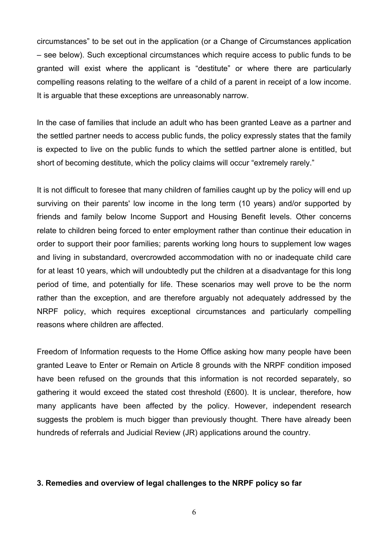circumstances" to be set out in the application (or a Change of Circumstances application – see below). Such exceptional circumstances which require access to public funds to be granted will exist where the applicant is "destitute" or where there are particularly compelling reasons relating to the welfare of a child of a parent in receipt of a low income. It is arguable that these exceptions are unreasonably narrow.

In the case of families that include an adult who has been granted Leave as a partner and the settled partner needs to access public funds, the policy expressly states that the family is expected to live on the public funds to which the settled partner alone is entitled, but short of becoming destitute, which the policy claims will occur "extremely rarely."

It is not difficult to foresee that many children of families caught up by the policy will end up surviving on their parents' low income in the long term (10 years) and/or supported by friends and family below Income Support and Housing Benefit levels. Other concerns relate to children being forced to enter employment rather than continue their education in order to support their poor families; parents working long hours to supplement low wages and living in substandard, overcrowded accommodation with no or inadequate child care for at least 10 years, which will undoubtedly put the children at a disadvantage for this long period of time, and potentially for life. These scenarios may well prove to be the norm rather than the exception, and are therefore arguably not adequately addressed by the NRPF policy, which requires exceptional circumstances and particularly compelling reasons where children are affected.

Freedom of Information requests to the Home Office asking how many people have been granted Leave to Enter or Remain on Article 8 grounds with the NRPF condition imposed have been refused on the grounds that this information is not recorded separately, so gathering it would exceed the stated cost threshold (£600). It is unclear, therefore, how many applicants have been affected by the policy. However, independent research suggests the problem is much bigger than previously thought. There have already been hundreds of referrals and Judicial Review (JR) applications around the country.

#### **3. Remedies and overview of legal challenges to the NRPF policy so far**

6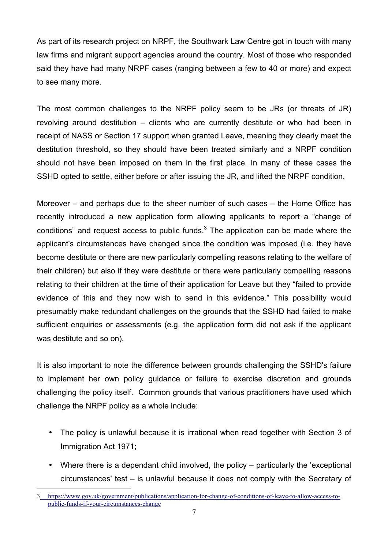As part of its research project on NRPF, the Southwark Law Centre got in touch with many law firms and migrant support agencies around the country. Most of those who responded said they have had many NRPF cases (ranging between a few to 40 or more) and expect to see many more.

The most common challenges to the NRPF policy seem to be JRs (or threats of JR) revolving around destitution – clients who are currently destitute or who had been in receipt of NASS or Section 17 support when granted Leave, meaning they clearly meet the destitution threshold, so they should have been treated similarly and a NRPF condition should not have been imposed on them in the first place. In many of these cases the SSHD opted to settle, either before or after issuing the JR, and lifted the NRPF condition.

Moreover – and perhaps due to the sheer number of such cases – the Home Office has recently introduced a new application form allowing applicants to report a "change of conditions" and request access to public funds. $3$  The application can be made where the applicant's circumstances have changed since the condition was imposed (i.e. they have become destitute or there are new particularly compelling reasons relating to the welfare of their children) but also if they were destitute or there were particularly compelling reasons relating to their children at the time of their application for Leave but they "failed to provide evidence of this and they now wish to send in this evidence." This possibility would presumably make redundant challenges on the grounds that the SSHD had failed to make sufficient enquiries or assessments (e.g. the application form did not ask if the applicant was destitute and so on).

It is also important to note the difference between grounds challenging the SSHD's failure to implement her own policy guidance or failure to exercise discretion and grounds challenging the policy itself. Common grounds that various practitioners have used which challenge the NRPF policy as a whole include:

- The policy is unlawful because it is irrational when read together with Section 3 of Immigration Act 1971;
- Where there is a dependant child involved, the policy particularly the 'exceptional circumstances' test – is unlawful because it does not comply with the Secretary of

 <sup>3</sup> https://www.gov.uk/government/publications/application-for-change-of-conditions-of-leave-to-allow-access-topublic-funds-if-your-circumstances-change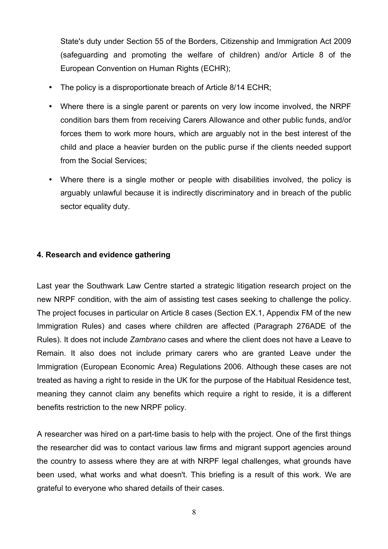State's duty under Section 55 of the Borders, Citizenship and Immigration Act 2009 (safeguarding and promoting the welfare of children) and/or Article 8 of the European Convention on Human Rights (ECHR);

- The policy is a disproportionate breach of Article 8/14 ECHR;
- Where there is a single parent or parents on very low income involved, the NRPF condition bars them from receiving Carers Allowance and other public funds, and/or forces them to work more hours, which are arguably not in the best interest of the child and place a heavier burden on the public purse if the clients needed support from the Social Services;
- Where there is a single mother or people with disabilities involved, the policy is arguably unlawful because it is indirectly discriminatory and in breach of the public sector equality duty.

### **4. Research and evidence gathering**

Last year the Southwark Law Centre started a strategic litigation research project on the new NRPF condition, with the aim of assisting test cases seeking to challenge the policy. The project focuses in particular on Article 8 cases (Section EX.1, Appendix FM of the new Immigration Rules) and cases where children are affected (Paragraph 276ADE of the Rules). It does not include *Zambrano* cases and where the client does not have a Leave to Remain. It also does not include primary carers who are granted Leave under the Immigration (European Economic Area) Regulations 2006. Although these cases are not treated as having a right to reside in the UK for the purpose of the Habitual Residence test, meaning they cannot claim any benefits which require a right to reside, it is a different benefits restriction to the new NRPF policy.

A researcher was hired on a part-time basis to help with the project. One of the first things the researcher did was to contact various law firms and migrant support agencies around the country to assess where they are at with NRPF legal challenges, what grounds have been used, what works and what doesn't. This briefing is a result of this work. We are grateful to everyone who shared details of their cases.